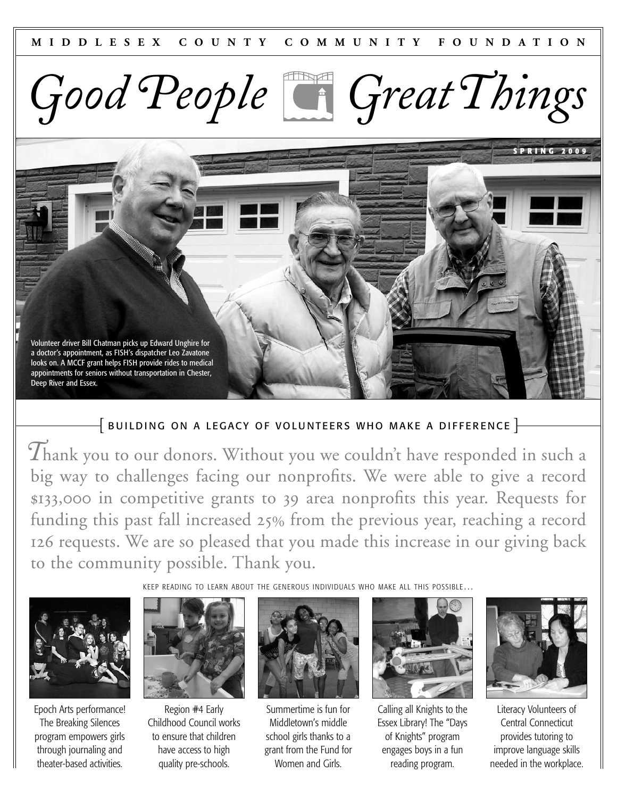*Good People GreatThings*

Volunteer driver Bill Chatman picks up Edward Unghire for a doctor's appointment, as FISH's dispatcher Leo Zavatone looks on. A MCCF grant helps FISH provide rides to medical appointments for seniors without transportation in Chester, Deep River and Essex.

# $\{$  BUILDING ON A LEGACY OF VOLUNTEERS WHO MAKE A DIFFERENCE  $\}$

*T*hank you to our donors. Without you we couldn't have responded in such <sup>a</sup> big way to challenges facing our nonprofits. We were able to give a record \$133,000 in competitive grants to 39 area nonprofits this year. Requests for funding this past fall increased  $25%$  from the previous year, reaching a record 126 requests. We are so pleased that you made this increase in our giving back to the community possible. Thank you.

Epoch Arts performance! The Breaking Silences program empowers girls through journaling and theater-based activities.



Region #4 Early Childhood Council works to ensure that children have access to high quality pre-schools.



Summertime is fun for Middletown's middle school girls thanks to a grant from the Fund for Women and Girls.



Calling all Knights to the Essex Library! The "Days of Knights" program engages boys in a fun reading program.



**S P R I N G 2 0 0 9**

Literacy Volunteers of Central Connecticut provides tutoring to improve language skills needed in the workplace.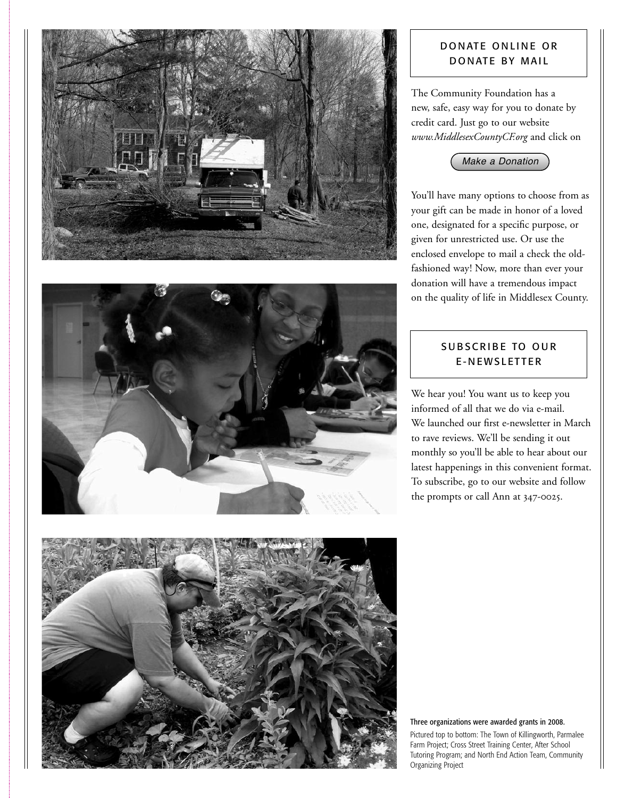



## DONATE ONLINE OR DONATE BY MAIL

The Community Foundation has a new, safe, easy way for you to donate by credit card. Just go to our website *www.MiddlesexCountyCF.org* and click on



You'll have many options to choose from as your gift can be made in honor of a loved one, designated for a specific purpose, or given for unrestricted use. Or use the enclosed envelope to mail a check the oldfashioned way! Now, more than ever your donation will have a tremendous impact on the quality of life in Middlesex County.

# SUBSCRIBE TO OUR E-NEWSLETTER

We hear you! You want us to keep you informed of all that we do via e-mail. We launched our first e-newsletter in March to rave reviews. We'll be sending it out monthly so you'll be able to hear about our latest happenings in this convenient format. To subscribe, go to our website and follow the prompts or call Ann at  $347$ -0025.



Three organizations were awarded grants in 2008.

Pictured top to bottom: The Town of Killingworth, Parmalee Farm Project; Cross Street Training Center, After School Tutoring Program; and North End Action Team, Community Organizing Project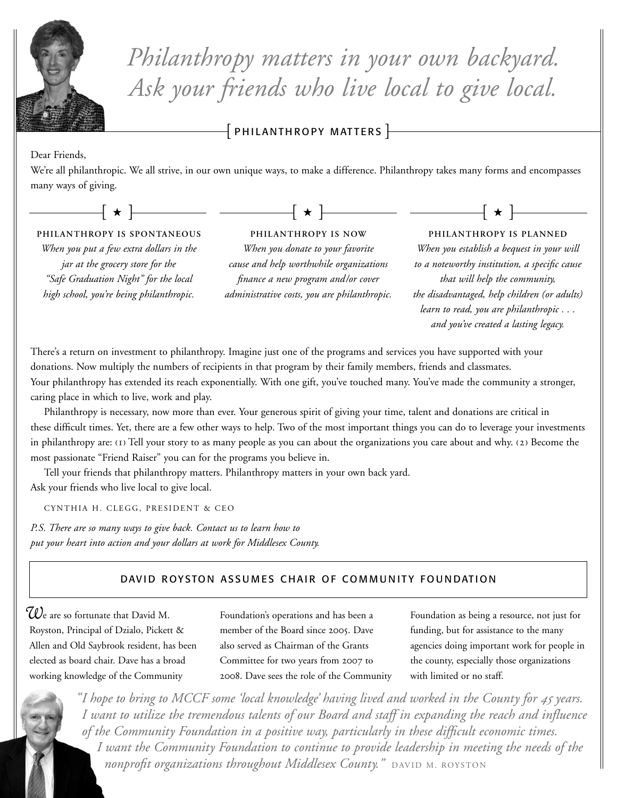

*Philanthropy matters in your own backyard. Ask your friends who live local to give local.*

 $\overline{\phantom{x}}$  PHILANTHROPY MATTERS  $\overline{\phantom{x}}$ 

#### Dear Friends,

We're all philanthropic. We all strive, in our own unique ways, to make a difference. Philanthropy takes many forms and encompasses many ways of giving.



*jar at the grocery store for the "Safe Graduation Night" for the local high school, you're being philanthropic.*

*When you donate to your favorite cause and help worthwhile organizations finance a new program and/or cover administrative costs, you are philanthropic.*

*When you establish a bequest in your will to a noteworthy institution, a specific cause that will help the community, the disadvantaged, help children (or adults) learn to read, you are philanthropic . . . and you've created a lasting legacy.*

There's a return on investment to philanthropy. Imagine just one of the programs and services you have supported with your donations. Now multiply the numbers of recipients in that program by their family members, friends and classmates. Your philanthropy has extended its reach exponentially. With one gift, you've touched many. You've made the community a stronger, caring place in which to live, work and play.

Philanthropy is necessary, now more than ever. Your generous spirit of giving your time, talent and donations are critical in these difficult times. Yet, there are a few other ways to help. Two of the most important things you can do to leverage your investments in philanthropy are: (1) Tell your story to as many people as you can about the organizations you care about and why. (2) Become the most passionate "Friend Raiser" you can for the programs you believe in.

Tell your friends that philanthropy matters. Philanthropy matters in your own back yard. Ask your friends who live local to give local.

CYNTHIA H. CLEGG, PRESIDENT & CEO

*P.S. There are so many ways to give back. Contact us to learn how to put your heart into action and your dollars at work for Middlesex County.*

# DAVID ROYSTON ASSUMES CHAIR OF COMMUNITY FOUNDATION

*W*<sup>e</sup> are so fortunate that David M. Royston, Principal of Dzialo, Pickett & Allen and Old Saybrook resident, has been elected as board chair. Dave has a broad working knowledge of the Community

Foundation's operations and has been a member of the Board since 2005. Dave also served as Chairman of the Grants Committee for two years from 2007 to . Dave sees the role of the Community Foundation as being a resource, not just for funding, but for assistance to the many agencies doing important work for people in the county, especially those organizations with limited or no staff.

"I hope to bring to MCCF some 'local knowledge' having lived and worked in the County for 45 years. I want to utilize the tremendous talents of our Board and staff in expanding the reach and influence *of the Community Foundation in a positive way, particularly in these difficult economic times. I want the Community Foundation to continue to provide leadership in meeting the needs of the nonprofit organizations throughout Middlesex County.*" DAVID M. ROYSTON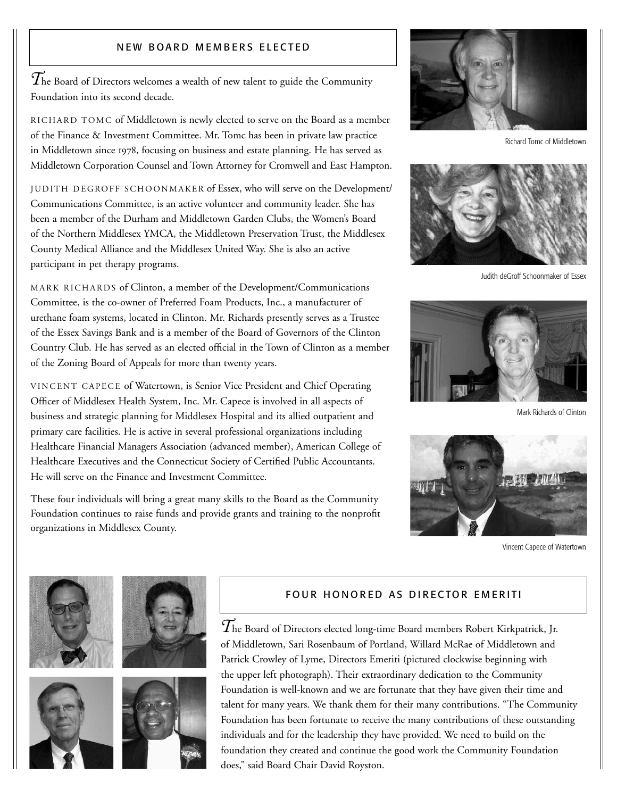## NEW BOARD MEMBERS ELECTED

 $\widetilde{T}$ he Board of Directors welcomes a wealth of new talent to guide the Community Foundation into its second decade.

RIC H ARD TOMC of Middletown is newly elected to serve on the Board as a member of the Finance & Investment Committee. Mr. Tomc has been in private law practice in Middletown since 1978, focusing on business and estate planning. He has served as Middletown Corporation Counsel and Town Attorney for Cromwell and East Hampton.

JUDITH DEGROFF SCHOONMAKER of Essex, who will serve on the Development/ Communications Committee, is an active volunteer and community leader. She has been a member of the Durham and Middletown Garden Clubs, the Women's Board of the Northern Middlesex YMCA, the Middletown Preservation Trust, the Middlesex County Medical Alliance and the Middlesex United Way. She is also an active participant in pet therapy programs.

MARK RICHARDS of Clinton, a member of the Development/Communications Committee, is the co-owner of Preferred Foam Products, Inc., a manufacturer of urethane foam systems, located in Clinton. Mr. Richards presently serves as a Trustee of the Essex Savings Bank and is a member of the Board of Governors of the Clinton Country Club. He has served as an elected official in the Town of Clinton as a member of the Zoning Board of Appeals for more than twenty years.

VINCENT CAPECE of Watertown, is Senior Vice President and Chief Operating Officer of Middlesex Health System, Inc. Mr. Capece is involved in all aspects of business and strategic planning for Middlesex Hospital and its allied outpatient and primary care facilities. He is active in several professional organizations including Healthcare Financial Managers Association (advanced member), American College of Healthcare Executives and the Connecticut Society of Certified Public Accountants. He will serve on the Finance and Investment Committee.

These four individuals will bring a great many skills to the Board as the Community Foundation continues to raise funds and provide grants and training to the nonprofit organizations in Middlesex County.



Richard Tomc of Middletown



Judith deGroff Schoonmaker of Essex



Mark Richards of Clinton



Vincent Capece of Watertown









## FOUR HONORED AS DIRECTOR EMERITI

 $\widetilde{T}$ he Board of Directors elected long-time Board members Robert Kirkpatrick, Jr. of Middletown, Sari Rosenbaum of Portland, Willard McRae of Middletown and Patrick Crowley of Lyme, Directors Emeriti (pictured clockwise beginning with the upper left photograph). Their extraordinary dedication to the Community Foundation is well-known and we are fortunate that they have given their time and talent for many years. We thank them for their many contributions. "The Community Foundation has been fortunate to receive the many contributions of these outstanding individuals and for the leadership they have provided. We need to build on the foundation they created and continue the good work the Community Foundation does," said Board Chair David Royston.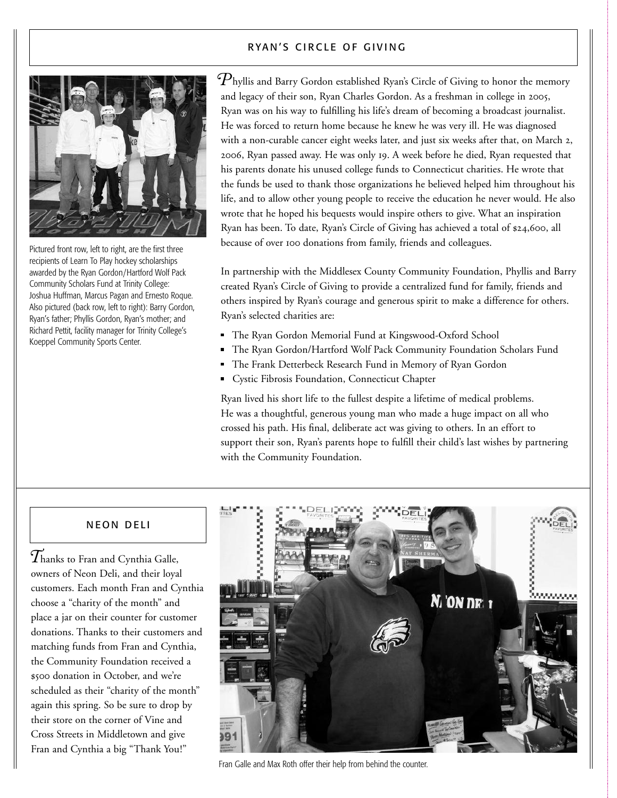### RYAN'S CIRCLE OF GIVING



Pictured front row, left to right, are the first three recipients of Learn To Play hockey scholarships awarded by the Ryan Gordon/Hartford Wolf Pack Community Scholars Fund at Trinity College: Joshua Huffman, Marcus Pagan and Ernesto Roque. Also pictured (back row, left to right): Barry Gordon, Ryan's father; Phyllis Gordon, Ryan's mother; and Richard Pettit, facility manager for Trinity College's Koeppel Community Sports Center.

 $\mathcal{P}_{\text{hyllis}}$  and Barry Gordon established Ryan's Circle of Giving to honor the memory and legacy of their son, Ryan Charles Gordon. As a freshman in college in 2005, Ryan was on his way to fulfilling his life's dream of becoming a broadcast journalist. He was forced to return home because he knew he was very ill. He was diagnosed with a non-curable cancer eight weeks later, and just six weeks after that, on March 2, 2006, Ryan passed away. He was only 19. A week before he died, Ryan requested that his parents donate his unused college funds to Connecticut charities. He wrote that the funds be used to thank those organizations he believed helped him throughout his life, and to allow other young people to receive the education he never would. He also wrote that he hoped his bequests would inspire others to give. What an inspiration Ryan has been. To date, Ryan's Circle of Giving has achieved a total of \$24,600, all because of over 100 donations from family, friends and colleagues.

In partnership with the Middlesex County Community Foundation, Phyllis and Barry created Ryan's Circle of Giving to provide a centralized fund for family, friends and others inspired by Ryan's courage and generous spirit to make a difference for others. Ryan's selected charities are:

- The Ryan Gordon Memorial Fund at Kingswood-Oxford School
- The Ryan Gordon/Hartford Wolf Pack Community Foundation Scholars Fund
- The Frank Detterbeck Research Fund in Memory of Ryan Gordon
- Cystic Fibrosis Foundation, Connecticut Chapter

Ryan lived his short life to the fullest despite a lifetime of medical problems. He was a thoughtful, generous young man who made a huge impact on all who crossed his path. His final, deliberate act was giving to others. In an effort to support their son, Ryan's parents hope to fulfill their child's last wishes by partnering with the Community Foundation.

#### **NEON DELI**

*T*hanks to Fran and Cynthia Galle, owners of Neon Deli, and their loyal customers. Each month Fran and Cynthia choose a "charity of the month" and place a jar on their counter for customer donations. Thanks to their customers and matching funds from Fran and Cynthia, the Community Foundation received a \$500 donation in October, and we're scheduled as their "charity of the month" again this spring. So be sure to drop by their store on the corner of Vine and Cross Streets in Middletown and give Fran and Cynthia a big "Thank You!"



Fran Galle and Max Roth offer their help from behind the counter.